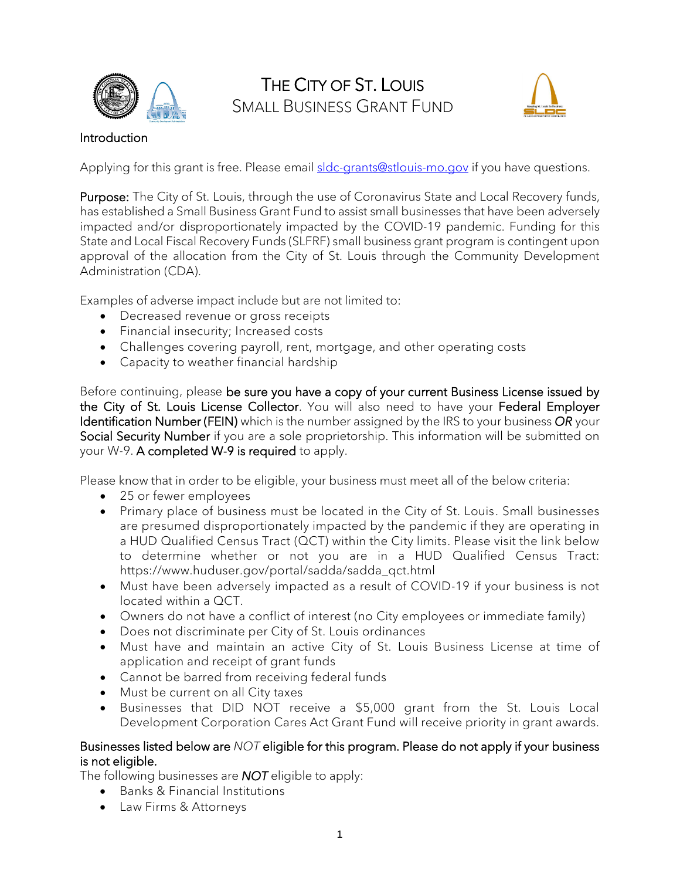



## Introduction

Applying for this grant is free. Please email [sldc-grants@stlouis-mo.gov](mailto:sldc-grants@stlouis-mo.gov) if you have questions.

Purpose: The City of St. Louis, through the use of Coronavirus State and Local Recovery funds, has established a Small Business Grant Fund to assist small businesses that have been adversely impacted and/or disproportionately impacted by the COVID-19 pandemic. Funding for this State and Local Fiscal Recovery Funds (SLFRF) small business grant program is contingent upon approval of the allocation from the City of St. Louis through the Community Development Administration (CDA).

Examples of adverse impact include but are not limited to:

- Decreased revenue or gross receipts
- Financial insecurity; Increased costs
- Challenges covering payroll, rent, mortgage, and other operating costs
- Capacity to weather financial hardship

Before continuing, please be sure you have a copy of your current Business License issued by the City of St. Louis License Collector. You will also need to have your Federal Employer Identification Number (FEIN) which is the number assigned by the IRS to your business *OR* your Social Security Number if you are a sole proprietorship. This information will be submitted on your W-9. A completed W-9 is required to apply.

Please know that in order to be eligible, your business must meet all of the below criteria:

- 25 or fewer employees
- Primary place of business must be located in the City of St. Louis. Small businesses are presumed disproportionately impacted by the pandemic if they are operating in a HUD Qualified Census Tract (QCT) within the City limits. Please visit the link below to determine whether or not you are in a HUD Qualified Census Tract: https://www.huduser.gov/portal/sadda/sadda\_qct.html
- Must have been adversely impacted as a result of COVID-19 if your business is not located within a QCT.
- Owners do not have a conflict of interest (no City employees or immediate family)
- Does not discriminate per City of St. Louis ordinances
- Must have and maintain an active City of St. Louis Business License at time of application and receipt of grant funds
- Cannot be barred from receiving federal funds
- Must be current on all City taxes
- Businesses that DID NOT receive a \$5,000 grant from the St. Louis Local Development Corporation Cares Act Grant Fund will receive priority in grant awards.

## Businesses listed below are *NOT* eligible for this program. Please do not apply if your business is not eligible.

The following businesses are *NOT* eligible to apply:

- Banks & Financial Institutions
- Law Firms & Attorneys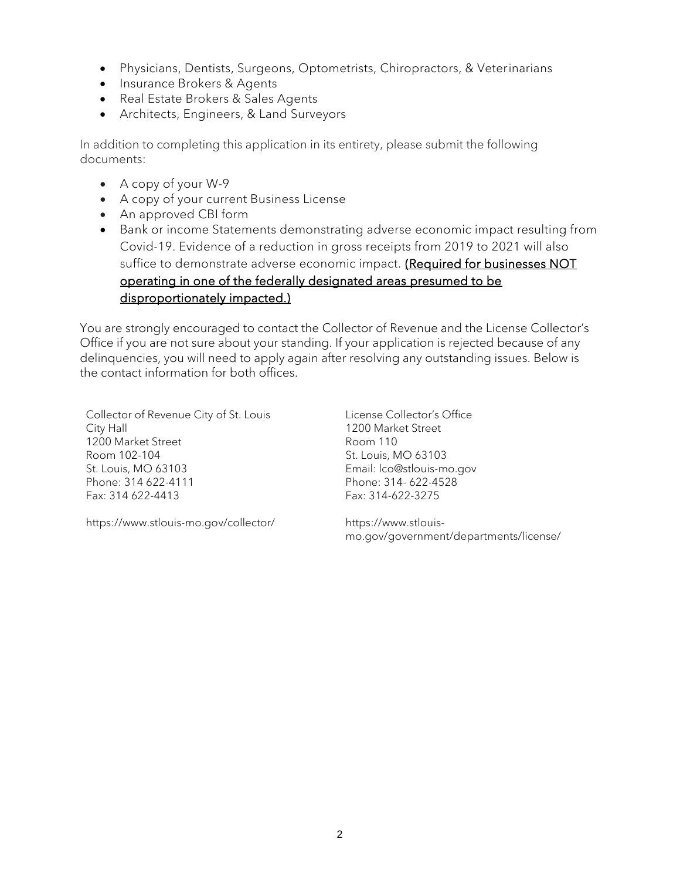- Physicians, Dentists, Surgeons, Optometrists, Chiropractors, & Veterinarians
- Insurance Brokers & Agents
- Real Estate Brokers & Sales Agents
- Architects, Engineers, & Land Surveyors

In addition to completing this application in its entirety, please submit the following documents:

- A copy of your W-9
- A copy of your current Business License
- An approved CBI form
- Bank or income Statements demonstrating adverse economic impact resulting from Covid-19. Evidence of a reduction in gross receipts from 2019 to 2021 will also suffice to demonstrate adverse economic impact. (Required for businesses NOT operating in one of the federally designated areas presumed to be disproportionately impacted.)

You are strongly encouraged to contact the Collector of Revenue and the License Collector's Office if you are not sure about your standing. If your application is rejected because of any delinquencies, you will need to apply again after resolving any outstanding issues. Below is the contact information for both offices.

Collector of Revenue City of St. Louis City Hall 1200 Market Street Room 102-104 St. Louis, MO 63103 Phone: 314 622-4111 Fax: 314 622-4413

License Collector's Office 1200 Market Street Room 110 St. Louis, MO 63103 Email: lco@stlouis-mo.gov Phone: 314- 622-4528 Fax: 314-622-3275

https://www.stlouis-mo.gov/collector/

https://www.stlouismo.gov/government/departments/license/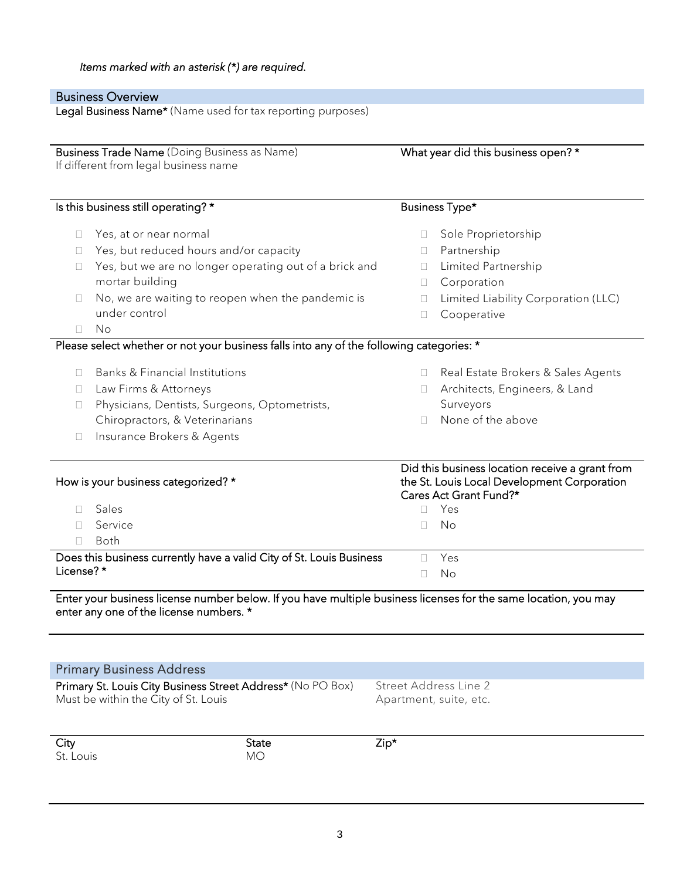|                                                                                       | <b>Business Overview</b><br>Legal Business Name* (Name used for tax reporting purposes)                         |                                                 |                                                                                                                                 |
|---------------------------------------------------------------------------------------|-----------------------------------------------------------------------------------------------------------------|-------------------------------------------------|---------------------------------------------------------------------------------------------------------------------------------|
| Business Trade Name (Doing Business as Name)<br>If different from legal business name |                                                                                                                 | What year did this business open? *             |                                                                                                                                 |
|                                                                                       | Is this business still operating? *                                                                             |                                                 | Business Type*                                                                                                                  |
| $\mathbf{L}$                                                                          | Yes, at or near normal                                                                                          |                                                 | Sole Proprietorship                                                                                                             |
| $\Box$                                                                                | Yes, but reduced hours and/or capacity                                                                          | u                                               | Partnership                                                                                                                     |
| П                                                                                     | Yes, but we are no longer operating out of a brick and                                                          | П.                                              | Limited Partnership                                                                                                             |
|                                                                                       | mortar building                                                                                                 | П.                                              | Corporation                                                                                                                     |
| $\Box$                                                                                | No, we are waiting to reopen when the pandemic is                                                               | □                                               | Limited Liability Corporation (LLC)                                                                                             |
|                                                                                       | under control                                                                                                   | Ш                                               | Cooperative                                                                                                                     |
| П                                                                                     | No                                                                                                              |                                                 |                                                                                                                                 |
|                                                                                       | Please select whether or not your business falls into any of the following categories: *                        |                                                 |                                                                                                                                 |
| $\mathbf{L}$                                                                          | Banks & Financial Institutions                                                                                  | $\Box$                                          | Real Estate Brokers & Sales Agents                                                                                              |
| □.                                                                                    | Law Firms & Attorneys                                                                                           | $\Box$                                          | Architects, Engineers, & Land                                                                                                   |
| □                                                                                     | Physicians, Dentists, Surgeons, Optometrists,                                                                   |                                                 | Surveyors                                                                                                                       |
|                                                                                       | Chiropractors, & Veterinarians                                                                                  | П                                               | None of the above                                                                                                               |
| Ц                                                                                     | Insurance Brokers & Agents                                                                                      |                                                 |                                                                                                                                 |
| П                                                                                     | How is your business categorized? *<br>Sales                                                                    | $\Box$                                          | Did this business location receive a grant from<br>the St. Louis Local Development Corporation<br>Cares Act Grant Fund?*<br>Yes |
| $\mathbf{L}$                                                                          | Service                                                                                                         | П                                               | No                                                                                                                              |
| $\mathbf{L}$                                                                          | <b>Both</b>                                                                                                     |                                                 |                                                                                                                                 |
|                                                                                       | Does this business currently have a valid City of St. Louis Business                                            | $\Box$                                          | Yes                                                                                                                             |
| License?*                                                                             |                                                                                                                 | П                                               | No                                                                                                                              |
|                                                                                       | Enter your business license number below. If you have multiple business licenses for the same location, you may |                                                 |                                                                                                                                 |
|                                                                                       | enter any one of the license numbers. *                                                                         |                                                 |                                                                                                                                 |
|                                                                                       |                                                                                                                 |                                                 |                                                                                                                                 |
|                                                                                       | <b>Primary Business Address</b>                                                                                 |                                                 |                                                                                                                                 |
|                                                                                       | Primary St. Louis City Business Street Address* (No PO Box)<br>Must be within the City of St. Louis             | Street Address Line 2<br>Apartment, suite, etc. |                                                                                                                                 |
| City                                                                                  | <b>State</b>                                                                                                    | $Zip*$                                          |                                                                                                                                 |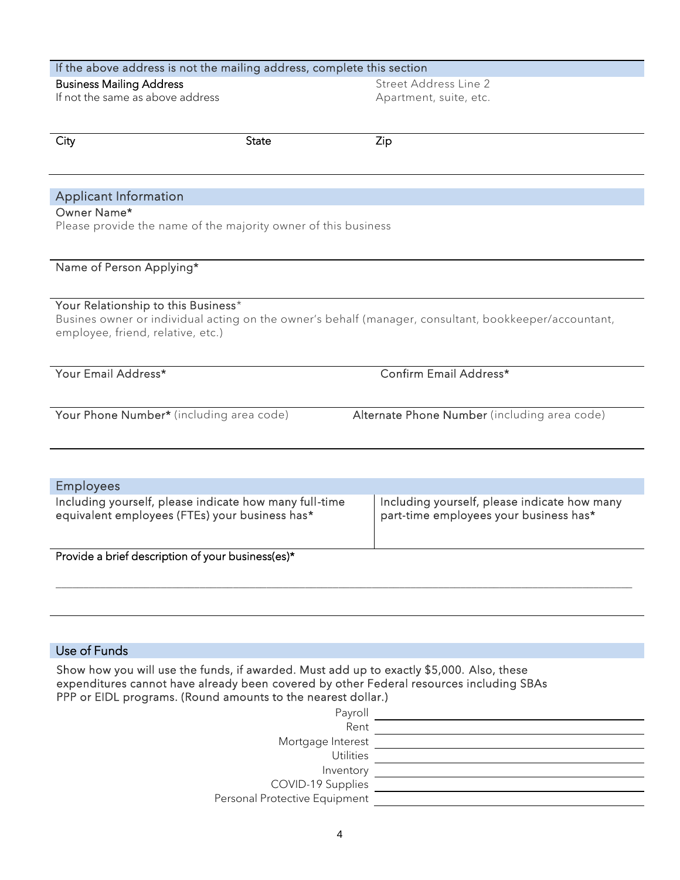| If the above address is not the mailing address, complete this section                                                                                   |              |                                                                                                       |  |
|----------------------------------------------------------------------------------------------------------------------------------------------------------|--------------|-------------------------------------------------------------------------------------------------------|--|
| <b>Business Mailing Address</b><br>If not the same as above address                                                                                      |              | Street Address Line 2<br>Apartment, suite, etc.                                                       |  |
| City                                                                                                                                                     | <b>State</b> | Zip                                                                                                   |  |
| <b>Applicant Information</b>                                                                                                                             |              |                                                                                                       |  |
| Owner Name*<br>Please provide the name of the majority owner of this business                                                                            |              |                                                                                                       |  |
| Name of Person Applying*                                                                                                                                 |              |                                                                                                       |  |
| Your Relationship to this Business*<br>employee, friend, relative, etc.)                                                                                 |              | Busines owner or individual acting on the owner's behalf (manager, consultant, bookkeeper/accountant, |  |
| Your Email Address*                                                                                                                                      |              | Confirm Email Address*                                                                                |  |
| Your Phone Number* (including area code)                                                                                                                 |              | Alternate Phone Number (including area code)                                                          |  |
| <b>Employees</b>                                                                                                                                         |              |                                                                                                       |  |
| Including yourself, please indicate how many full-time<br>equivalent employees (FTEs) your business has*                                                 |              | Including yourself, please indicate how many<br>part-time employees your business has*                |  |
| Provide a brief description of your business(es)*                                                                                                        |              |                                                                                                       |  |
|                                                                                                                                                          |              |                                                                                                       |  |
|                                                                                                                                                          |              |                                                                                                       |  |
| Use of Funds                                                                                                                                             |              |                                                                                                       |  |
| Show how you will use the funds, if awarded. Must add up to exactly \$5,000. Also, these<br>PPP or EIDL programs. (Round amounts to the nearest dollar.) |              | expenditures cannot have already been covered by other Federal resources including SBAs               |  |

| Payroll                       |  |
|-------------------------------|--|
| Rent                          |  |
| Mortgage Interest             |  |
| <b>Utilities</b>              |  |
| Inventory                     |  |
| COVID-19 Supplies             |  |
| Personal Protective Equipment |  |
|                               |  |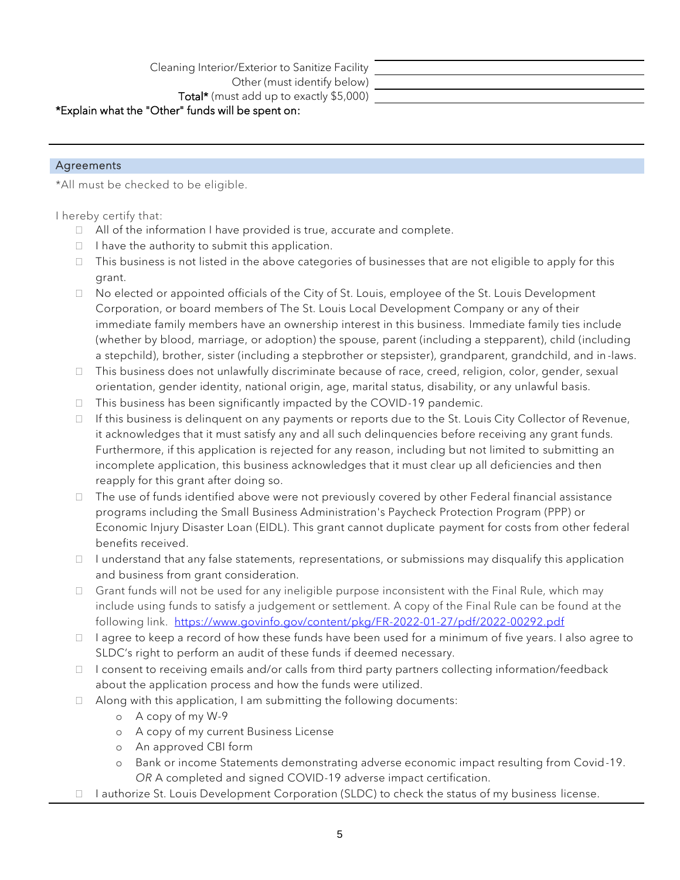Cleaning Interior/Exterior to Sanitize Facility Other (must identify below)

Total\* (must add up to exactly \$5,000)

## \*Explain what the "Other" funds will be spent on:

## Agreements

\*All must be checked to be eligible.

I hereby certify that:

- $\Box$  All of the information I have provided is true, accurate and complete.
- $\Box$  I have the authority to submit this application.
- $\Box$  This business is not listed in the above categories of businesses that are not eligible to apply for this grant.
- $\Box$  No elected or appointed officials of the City of St. Louis, employee of the St. Louis Development Corporation, or board members of The St. Louis Local Development Company or any of their immediate family members have an ownership interest in this business. Immediate family ties include (whether by blood, marriage, or adoption) the spouse, parent (including a stepparent), child (including a stepchild), brother, sister (including a stepbrother or stepsister), grandparent, grandchild, and in -laws.
- $\Box$  This business does not unlawfully discriminate because of race, creed, religion, color, gender, sexual orientation, gender identity, national origin, age, marital status, disability, or any unlawful basis.
- $\Box$  This business has been significantly impacted by the COVID-19 pandemic.
- $\Box$  If this business is delinguent on any payments or reports due to the St. Louis City Collector of Revenue, it acknowledges that it must satisfy any and all such delinquencies before receiving any grant funds. Furthermore, if this application is rejected for any reason, including but not limited to submitting an incomplete application, this business acknowledges that it must clear up all deficiencies and then reapply for this grant after doing so.
- $\Box$  The use of funds identified above were not previously covered by other Federal financial assistance programs including the Small Business Administration's Paycheck Protection Program (PPP) or Economic Injury Disaster Loan (EIDL). This grant cannot duplicate payment for costs from other federal benefits received.
- $\Box$  I understand that any false statements, representations, or submissions may disqualify this application and business from grant consideration.
- $\Box$  Grant funds will not be used for any ineligible purpose inconsistent with the Final Rule, which may include using funds to satisfy a judgement or settlement. A copy of the Final Rule can be found at the following link. <https://www.govinfo.gov/content/pkg/FR-2022-01-27/pdf/2022-00292.pdf>
- $\Box$  I agree to keep a record of how these funds have been used for a minimum of five years. I also agree to SLDC's right to perform an audit of these funds if deemed necessary.
- $\Box$  I consent to receiving emails and/or calls from third party partners collecting information/feedback about the application process and how the funds were utilized.
- $\Box$  Along with this application, I am submitting the following documents:
	- o A copy of my W-9
	- o A copy of my current Business License
	- o An approved CBI form
	- o Bank or income Statements demonstrating adverse economic impact resulting from Covid-19. *OR* A completed and signed COVID-19 adverse impact certification.
- $\Box$  I authorize St. Louis Development Corporation (SLDC) to check the status of my business license.